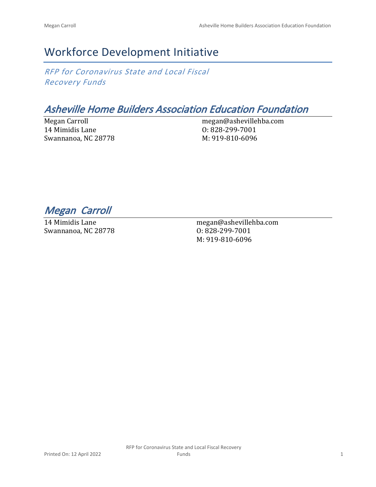## Workforce Development Initiative

*RFP for Coronavirus State and Local Fiscal Recovery Funds*

## *Asheville Home Builders Association Education Foundation*

Megan Carroll 14 Mimidis Lane Swannanoa, NC 28778

megan@ashevillehba.com O: 828-299-7001 M: 919-810-6096

*Megan Carroll* 

14 Mimidis Lane Swannanoa, NC 28778 megan@ashevillehba.com O: 828-299-7001 M: 919-810-6096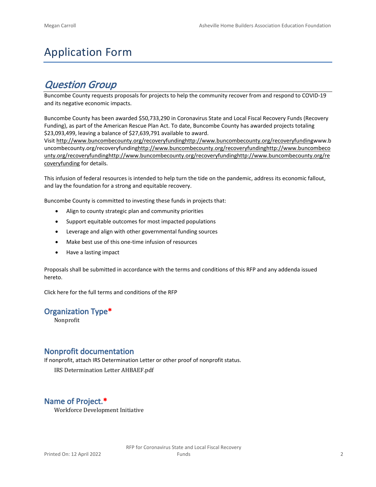# Application Form

## *Question Group*

Buncombe County requests proposals for projects to help the community recover from and respond to COVID-19 and its negative economic impacts.

Buncombe County has been awarded \$50,733,290 in Coronavirus State and Local Fiscal Recovery Funds (Recovery Funding), as part of the American Rescue Plan Act. To date, Buncombe County has awarded projects totaling \$23,093,499, leaving a balance of \$27,639,791 available to award.

Visit [http://www.buncombecounty.org/recoveryfundinghttp://www.buncombecounty.org/recoveryfundingwww.b](http://www.buncombecounty.org/recoveryfunding) [uncombecounty.org/recoveryfundinghttp://www.buncombecounty.org/recoveryfundinghttp://www.buncombeco](http://www.buncombecounty.org/recoveryfunding) [unty.org/recoveryfundinghttp://www.buncombecounty.org/recoveryfundinghttp://www.buncombecounty.org/re](http://www.buncombecounty.org/recoveryfunding) [coveryfunding](http://www.buncombecounty.org/recoveryfunding) for details.

This infusion of federal resources is intended to help turn the tide on the pandemic, address its economic fallout, and lay the foundation for a strong and equitable recovery.

Buncombe County is committed to investing these funds in projects that:

- Align to county strategic plan and community priorities
- Support equitable outcomes for most impacted populations
- Leverage and align with other governmental funding sources
- Make best use of this one-time infusion of resources
- Have a lasting impact

Proposals shall be submitted in accordance with the terms and conditions of this RFP and any addenda issued hereto.

Click [here](https://www.buncombecounty.org/common/purchasing/Buncombe%20Recovery%20Funding%20RFP%202022.pdf) for the full terms and conditions of the RFP

### **Organization Type\***

Nonprofit

### **Nonprofit documentation**

If nonprofit, attach IRS Determination Letter or other proof of nonprofit status.

IRS Determination Letter AHBAEF.pdf

### **Name of Project.\***

Workforce Development Initiative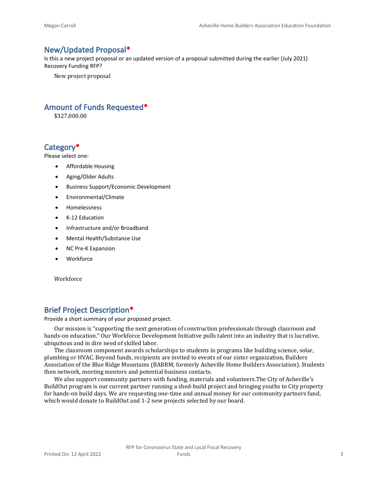#### **New/Updated Proposal\***

Is this a new project proposal or an updated version of a proposal submitted during the earlier (July 2021) Recovery Funding RFP?

New project proposal

### **Amount of Funds Requested\***

\$327,000.00

### **Category\***

Please select one:

- Affordable Housing
- Aging/Older Adults
- Business Support/Economic Development
- Environmental/Climate
- Homelessness
- K-12 Education
- Infrastructure and/or Broadband
- Mental Health/Substance Use
- NC Pre-K Expansion
- Workforce

Workforce

### **Brief Project Description\***

Provide a short summary of your proposed project.

Our mission is "supporting the next generation of construction professionals through classroom and hands-on education." Our Workforce Development Initiative pulls talent into an industry that is lucrative, ubiquitous and in dire need of skilled labor.

The classroom component awards scholarships to students in programs like building science, solar, plumbing or HVAC. Beyond funds, recipients are invited to events of our sister organization, Builders Association of the Blue Ridge Mountains (BABRM; formerly Asheville Home Builders Association). Students then network, meeting mentors and potential business contacts.

We also support community partners with funding, materials and volunteers.The City of Asheville's BuildOut program is our current partner running a shed-build project and bringing youths to City property for hands-on build days. We are requesting one-time and annual money for our community partners fund, which would donate to BuildOut and 1-2 new projects selected by our board.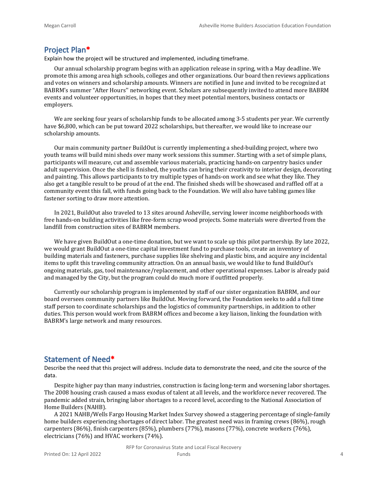#### **Project Plan\***

Explain how the project will be structured and implemented, including timeframe.

Our annual scholarship program begins with an application release in spring, with a May deadline. We promote this among area high schools, colleges and other organizations. Our board then reviews applications and votes on winners and scholarship amounts. Winners are notified in June and invited to be recognized at BABRM's summer "After Hours'' networking event. Scholars are subsequently invited to attend more BABRM events and volunteer opportunities, in hopes that they meet potential mentors, business contacts or employers.

We are seeking four years of scholarship funds to be allocated among 3-5 students per year. We currently have \$6,800, which can be put toward 2022 scholarships, but thereafter, we would like to increase our scholarship amounts.

Our main community partner BuildOut is currently implementing a shed-building project, where two youth teams will build mini sheds over many work sessions this summer. Starting with a set of simple plans, participants will measure, cut and assemble various materials, practicing hands-on carpentry basics under adult supervision. Once the shell is finished, the youths can bring their creativity to interior design, decorating and painting. This allows participants to try multiple types of hands-on work and see what they like. They also get a tangible result to be proud of at the end. The finished sheds will be showcased and raffled off at a community event this fall, with funds going back to the Foundation. We will also have tabling games like fastener sorting to draw more attention.

In 2021, BuildOut also traveled to 13 sites around Asheville, serving lower income neighborhoods with free hands-on building activities like free-form scrap wood projects. Some materials were diverted from the landfill from construction sites of BABRM members.

We have given BuildOut a one-time donation, but we want to scale up this pilot partnership. By late 2022, we would grant BuildOut a one-time capital investment fund to purchase tools, create an inventory of building materials and fasteners, purchase supplies like shelving and plastic bins, and acquire any incidental items to upfit this traveling community attraction. On an annual basis, we would like to fund BuildOut's ongoing materials, gas, tool maintenance/replacement, and other operational expenses. Labor is already paid and managed by the City, but the program could do much more if outfitted properly.

Currently our scholarship program is implemented by staff of our sister organization BABRM, and our board oversees community partners like BuildOut. Moving forward, the Foundation seeks to add a full time staff person to coordinate scholarships and the logistics of community partnerships, in addition to other duties. This person would work from BABRM offices and become a key liaison, linking the foundation with BABRM's large network and many resources.

#### **Statement of Need\***

Describe the need that this project will address. Include data to demonstrate the need, and cite the source of the data.

Despite higher pay than many industries, construction is facing long-term and worsening labor shortages. The 2008 housing crash caused a mass exodus of talent at all levels, and the workforce never recovered. The pandemic added strain, bringing labor shortages to a record level, according to the National Association of Home Builders (NAHB).

A 2021 NAHB/Wells Fargo Housing Market Index Survey showed a staggering percentage of single-family home builders experiencing shortages of direct labor. The greatest need was in framing crews (86%), rough carpenters (86%), finish carpenters (85%), plumbers (77%), masons (77%), concrete workers (76%), electricians (76%) and HVAC workers (74%).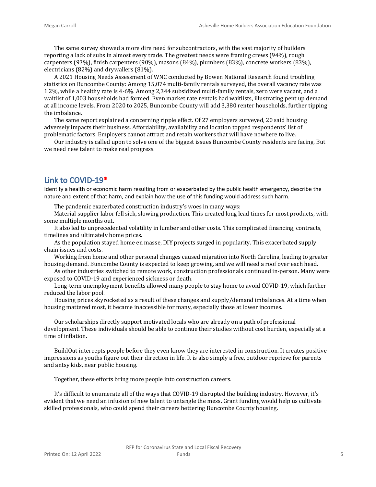The same survey showed a more dire need for subcontractors, with the vast majority of builders reporting a lack of subs in almost every trade. The greatest needs were framing crews (94%), rough carpenters (93%), finish carpenters (90%), masons (84%), plumbers (83%), concrete workers (83%), electricians (82%) and drywallers (81%).

A 2021 Housing Needs Assessment of WNC conducted by Bowen National Research found troubling statistics on Buncombe County: Among 15,074 multi-family rentals surveyed, the overall vacancy rate was 1.2%, while a healthy rate is 4-6%. Among 2,344 subsidized multi-family rentals, zero were vacant, and a waitlist of 1,003 households had formed. Even market rate rentals had waitlists, illustrating pent up demand at all income levels. From 2020 to 2025, Buncombe County will add 3,380 renter households, further tipping the imbalance.

The same report explained a concerning ripple effect. Of 27 employers surveyed, 20 said housing adversely impacts their business. Affordability, availability and location topped respondents' list of problematic factors. Employers cannot attract and retain workers that will have nowhere to live.

Our industry is called upon to solve one of the biggest issues Buncombe County residents are facing. But we need new talent to make real progress.

### **Link to COVID-19\***

Identify a health or economic harm resulting from or exacerbated by the public health emergency, describe the nature and extent of that harm, and explain how the use of this funding would address such harm.

The pandemic exacerbated construction industry's woes in many ways:

Material supplier labor fell sick, slowing production. This created long lead times for most products, with some multiple months out.

It also led to unprecedented volatility in lumber and other costs. This complicated financing, contracts, timelines and ultimately home prices.

As the population stayed home en masse, DIY projects surged in popularity. This exacerbated supply chain issues and costs.

Working from home and other personal changes caused migration into North Carolina, leading to greater housing demand. Buncombe County is expected to keep growing, and we will need a roof over each head.

As other industries switched to remote work, construction professionals continued in-person. Many were exposed to COVID-19 and experienced sickness or death.

Long-term unemployment benefits allowed many people to stay home to avoid COVID-19, which further reduced the labor pool.

Housing prices skyrocketed as a result of these changes and supply/demand imbalances. At a time when housing mattered most, it became inaccessible for many, especially those at lower incomes.

Our scholarships directly support motivated locals who are already on a path of professional development. These individuals should be able to continue their studies without cost burden, especially at a time of inflation.

BuildOut intercepts people before they even know they are interested in construction. It creates positive impressions as youths figure out their direction in life. It is also simply a free, outdoor reprieve for parents and antsy kids, near public housing.

Together, these efforts bring more people into construction careers.

It's difficult to enumerate all of the ways that COVID-19 disrupted the building industry. However, it's evident that we need an infusion of new talent to untangle the mess. Grant funding would help us cultivate skilled professionals, who could spend their careers bettering Buncombe County housing.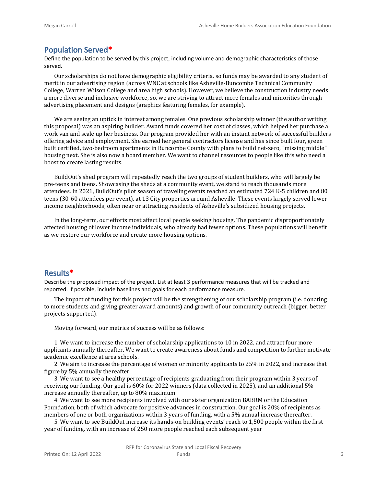#### **Population Served\***

Define the population to be served by this project, including volume and demographic characteristics of those served.

Our scholarships do not have demographic eligibility criteria, so funds may be awarded to any student of merit in our advertising region (across WNC at schools like Asheville-Buncombe Technical Community College, Warren Wilson College and area high schools). However, we believe the construction industry needs a more diverse and inclusive workforce, so, we are striving to attract more females and minorities through advertising placement and designs (graphics featuring females, for example).

We are seeing an uptick in interest among females. One previous scholarship winner (the author writing this proposal) was an aspiring builder. Award funds covered her cost of classes, which helped her purchase a work van and scale up her business. Our program provided her with an instant network of successful builders offering advice and employment. She earned her general contractors license and has since built four, green built certified, two-bedroom apartments in Buncombe County with plans to build net-zero, "missing middle" housing next. She is also now a board member. We want to channel resources to people like this who need a boost to create lasting results.

BuildOut's shed program will repeatedly reach the two groups of student builders, who will largely be pre-teens and teens. Showcasing the sheds at a community event, we stand to reach thousands more attendees. In 2021, BuildOut's pilot season of traveling events reached an estimated 724 K-5 children and 80 teens (30-60 attendees per event), at 13 City properties around Asheville. These events largely served lower income neighborhoods, often near or attracting residents of Asheville's subsidized housing projects.

In the long-term, our efforts most affect local people seeking housing. The pandemic disproportionately affected housing of lower income individuals, who already had fewer options. These populations will benefit as we restore our workforce and create more housing options.

#### **Results\***

Describe the proposed impact of the project. List at least 3 performance measures that will be tracked and reported. If possible, include baselines and goals for each performance measure.

The impact of funding for this project will be the strengthening of our scholarship program (i.e. donating to more students and giving greater award amounts) and growth of our community outreach (bigger, better projects supported).

Moving forward, our metrics of success will be as follows:

1. We want to increase the number of scholarship applications to 10 in 2022, and attract four more applicants annually thereafter. We want to create awareness about funds and competition to further motivate academic excellence at area schools.

2. We aim to increase the percentage of women or minority applicants to 25% in 2022, and increase that figure by 5% annually thereafter.

3. We want to see a healthy percentage of recipients graduating from their program within 3 years of receiving our funding. Our goal is 60% for 2022 winners (data collected in 2025), and an additional 5% increase annually thereafter, up to 80% maximum.

4. We want to see more recipients involved with our sister organization BABRM or the Education Foundation, both of which advocate for positive advances in construction. Our goal is 20% of recipients as members of one or both organizations within 3 years of funding, with a 5% annual increase thereafter.

5. We want to see BuildOut increase its hands-on building events' reach to 1,500 people within the first year of funding, with an increase of 250 more people reached each subsequent year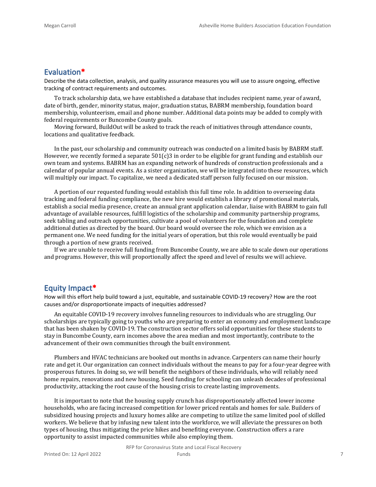#### **Evaluation\***

Describe the data collection, analysis, and quality assurance measures you will use to assure ongoing, effective tracking of contract requirements and outcomes.

To track scholarship data, we have established a database that includes recipient name, year of award, date of birth, gender, minority status, major, graduation status, BABRM membership, foundation board membership, volunteerism, email and phone number. Additional data points may be added to comply with federal requirements or Buncombe County goals.

Moving forward, BuildOut will be asked to track the reach of initiatives through attendance counts, locations and qualitative feedback.

In the past, our scholarship and community outreach was conducted on a limited basis by BABRM staff. However, we recently formed a separate 501(c)3 in order to be eligible for grant funding and establish our own team and systems. BABRM has an expanding network of hundreds of construction professionals and a calendar of popular annual events. As a sister organization, we will be integrated into these resources, which will multiply our impact. To capitalize, we need a dedicated staff person fully focused on our mission.

A portion of our requested funding would establish this full time role. In addition to overseeing data tracking and federal funding compliance, the new hire would establish a library of promotional materials, establish a social media presence, create an annual grant application calendar, liaise with BABRM to gain full advantage of available resources, fulfill logistics of the scholarship and community partnership programs, seek tabling and outreach opportunities, cultivate a pool of volunteers for the foundation and complete additional duties as directed by the board. Our board would oversee the role, which we envision as a permanent one. We need funding for the initial years of operation, but this role would eventually be paid through a portion of new grants received.

If we are unable to receive full funding from Buncombe County, we are able to scale down our operations and programs. However, this will proportionally affect the speed and level of results we will achieve.

#### **Equity Impact\***

How will this effort help build toward a just, equitable, and sustainable COVID-19 recovery? How are the root causes and/or disproportionate impacts of inequities addressed?

An equitable COVID-19 recovery involves funneling resources to individuals who are struggling. Our scholarships are typically going to youths who are preparing to enter an economy and employment landscape that has been shaken by COVID-19. The construction sector offers solid opportunities for these students to stay in Buncombe County, earn incomes above the area median and most importantly, contribute to the advancement of their own communities through the built environment.

Plumbers and HVAC technicians are booked out months in advance. Carpenters can name their hourly rate and get it. Our organization can connect individuals without the means to pay for a four-year degree with prosperous futures. In doing so, we will benefit the neighbors of these individuals, who will reliably need home repairs, renovations and new housing. Seed funding for schooling can unleash decades of professional productivity, attacking the root cause of the housing crisis to create lasting improvements.

It is important to note that the housing supply crunch has disproportionately affected lower income households, who are facing increased competition for lower priced rentals and homes for sale. Builders of subsidized housing projects and luxury homes alike are competing to utilize the same limited pool of skilled workers. We believe that by infusing new talent into the workforce, we will alleviate the pressures on both types of housing, thus mitigating the price hikes and benefiting everyone. Construction offers a rare opportunity to assist impacted communities while also employing them.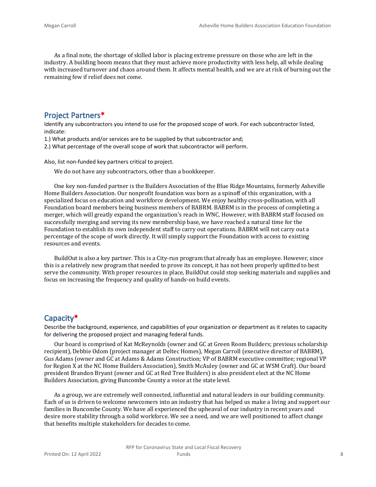As a final note, the shortage of skilled labor is placing extreme pressure on those who are left in the industry. A building boom means that they must achieve more productivity with less help, all while dealing with increased turnover and chaos around them. It affects mental health, and we are at risk of burning out the remaining few if relief does not come.

#### **Project Partners\***

Identify any subcontractors you intend to use for the proposed scope of work. For each subcontractor listed, indicate:

- 1.) What products and/or services are to be supplied by that subcontractor and;
- 2.) What percentage of the overall scope of work that subcontractor will perform.

Also, list non-funded key partners critical to project.

We do not have any subcontractors, other than a bookkeeper.

One key non-funded partner is the Builders Association of the Blue Ridge Mountains, formerly Asheville Home Builders Association. Our nonprofit foundation was born as a spinoff of this organization, with a specialized focus on education and workforce development. We enjoy healthy cross-pollination, with all Foundation board members being business members of BABRM. BABRM is in the process of completing a merger, which will greatly expand the organization's reach in WNC. However, with BABRM staff focused on successfully merging and serving its new membership base, we have reached a natural time for the Foundation to establish its own independent staff to carry out operations. BABRM will not carry out a percentage of the scope of work directly. It will simply support the Foundation with access to existing resources and events.

BuildOut is also a key partner. This is a City-run program that already has an employee. However, since this is a relatively new program that needed to prove its concept, it has not been properly upfitted to best serve the community. With proper resources in place, BuildOut could stop seeking materials and supplies and focus on increasing the frequency and quality of hands-on build events.

#### **Capacity\***

Describe the background, experience, and capabilities of your organization or department as it relates to capacity for delivering the proposed project and managing federal funds.

Our board is comprised of Kat McReynolds (owner and GC at Green Room Builders; previous scholarship recipient), Debbie Odom (project manager at Deltec Homes), Megan Carroll (executive director of BABRM), Gus Adams (owner and GC at Adams & Adams Construction; VP of BABRM executive committee; regional VP for Region X at the NC Home Builders Association), Smith McAuley (owner and GC at WSM Craft). Our board president Brandon Bryant (owner and GC at Red Tree Builders) is also president elect at the NC Home Builders Association, giving Buncombe County a voice at the state level.

As a group, we are extremely well connected, influential and natural leaders in our building community. Each of us is driven to welcome newcomers into an industry that has helped us make a living and support our families in Buncombe County. We have all experienced the upheaval of our industry in recent years and desire more stability through a solid workforce. We see a need, and we are well positioned to affect change that benefits multiple stakeholders for decades to come.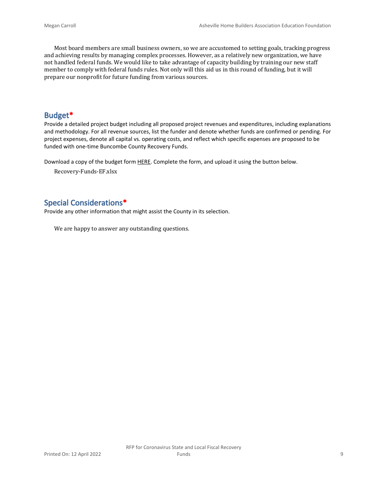Most board members are small business owners, so we are accustomed to setting goals, tracking progress and achieving results by managing complex processes. However, as a relatively new organization, we have not handled federal funds. We would like to take advantage of capacity building by training our new staff member to comply with federal funds rules. Not only will this aid us in this round of funding, but it will prepare our nonprofit for future funding from various sources.

### **Budget\***

Provide a detailed project budget including all proposed project revenues and expenditures, including explanations and methodology. For all revenue sources, list the funder and denote whether funds are confirmed or pending. For project expenses, denote all capital vs. operating costs, and reflect which specific expenses are proposed to be funded with one-time Buncombe County Recovery Funds.

Download a copy of the budget form [HERE](https://buncombecounty.org/common/community-investment/grants/early-childhood-education/Recovery-Funds-budget-template.xlsx). Complete the form, and upload it using the button below.

Recovery-Funds-EF.xlsx

### **Special Considerations\***

Provide any other information that might assist the County in its selection.

We are happy to answer any outstanding questions.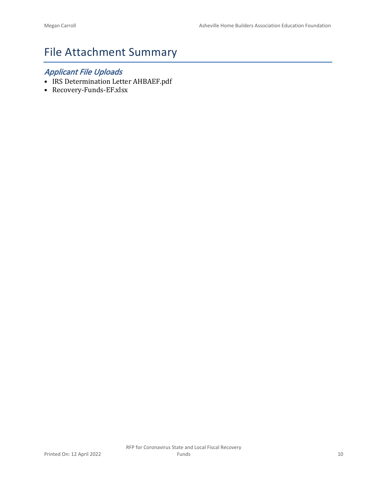## File Attachment Summary

### *Applicant File Uploads*

- IRS Determination Letter AHBAEF.pdf
- Recovery-Funds-EF.xlsx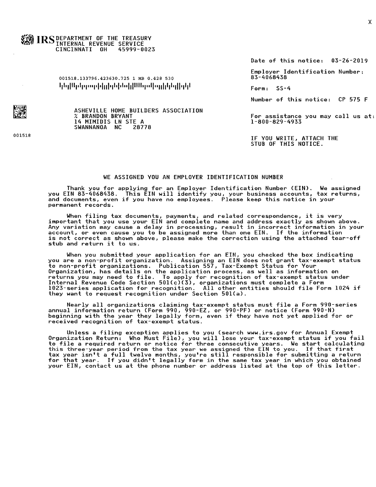### **WAN IRS DEPARTMENT OF THE TREASURY** CINCINNATI OH 45999-0023

001518.133796.423630.725 1 MB 0.428 530 ارارزا إرتازوا ووالسوا اللارارانيا بارارزان ارتسو لترازيلزا

**Z BRANDON BRYANT** 

14 MIMIDIS LN STE A<br>SWANNANOA NC 28778

ASHEVILLE HOME BUILDERS ASSOCIATION

Date of this notice:  $03-26-2019$ 

Employer Identification Number: 83-4068438

Form: SS-4

Number of this notice: CP 575 F

For assistance you may call us at:  $1 - 800 - 829 - 4933$ 

IF YOU WRITE, ATTACH THE<br>STUB OF THIS NOTICE.

#### WE ASSIGNED YOU AN EMPLOYER IDENTIFICATION NUMBER

Thank you for applying for an Employer Identification Number (EIN). We assigned<br>you EIN 83-4068438. This EIN will identify you, your business accounts, tax returns,<br>and documents, even if you have no employees. Please keep We assigned permanent records.

When filing tax documents, payments, and related correspondence, it is very important that you use your EIN and complete name and address exactly as shown above. Any variation may cause a delay in processing, result in incorrect information in your account, or even cause you to be assigned more than one EIN. If the information is not correct as shown above, please make the correction using the attached tear-off stub and return it to us.

When you submitted your application for an EIN, you checked the box indicating<br>you are a non-profit organization. Assigning an EIN does not grant tax-exempt status to non-profit organizations. Publication 557, Tax-Exempt Status for Your Organization, has details on the application process, as well as information on returns you may need to file. To apply for recognition of tax-exempt status under<br>Internal Revenue Code Section 501(c)(3), organizations must complete a Form<br>1023-series application for recognition. All other entities shou they want to request recognition under Section 501(a).

Nearly all organizations claiming tax-exempt status must file a Form 990-series<br>annual information return (Form 990, 990-EZ, or 990-PF) or notice (Form 990-N)<br>beginning with the year they legally form, even if they have no

Unless a filing exception applies to you (search www.irs.gov for Annual Exempt<br>Organization Return: Who Must File), you will lose your tax-exempt status if you fail to file a required return or notice for three consecutive years. We start calculating<br>this three-year period from the tax year we assigned the EIN to you. If that first that year isn't a full twelve months, you're still responsible for submitting a return<br>for that year. If you didn't legally form in the same tax year in which you obtained<br>your EIN, contact us at the phone number or addres

001518

 $\mathsf{x}$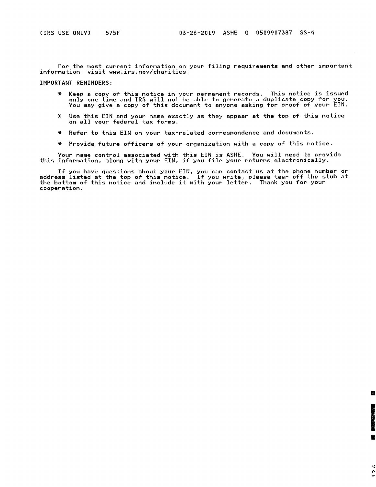Λ

For the most current information on your filing requirements and other important information, visit www.irs.gov/charities.

IMPORTANT REMINDERS:

- \* Keep a copy of this notice in your permanent records. This notice is issued<br>only one time and IRS will not be able to generate a duplicate copy for you. You may give a copy of this document to anyone asking for proof of your EIN.
- \* Use this EIN and your name exactly as they appear at the top of this notice on all your federal tax forms.
- \* Refer to this EIN on your tax-related correspondence and documents.
- \* Provide future officers of your organization with a copy of this notice.

Your name control associated with this EIN is ASHE. You will need to provide this information, along with your EIN, if you file your returns electronically.

If you have questions about your EIN, you can contact us at the phone number or<br>address listed at the top of this notice. If you write, please tear off the stub at<br>the bottom of this notice and include it with your letter. cooperation.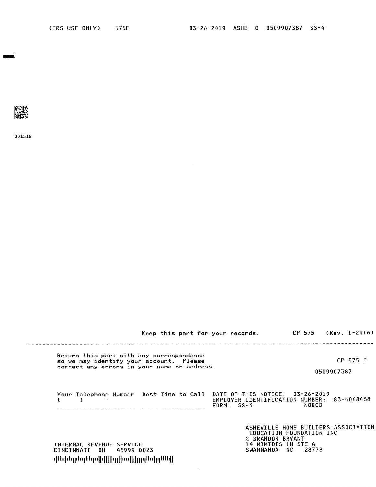(IRS USE ONLY) 575F

001518

 $CP$  575 (Rev. 1-2016) Keep this part for your records. Return this part with any correspondence so we may identify your account. Please CP 575 F correct any errors in your name or address. 0509907387 Your Telephone Number Best Time to Call DATE OF THIS NOTICE: 03-26-2019<br>(
) -<br>
EMPLOYER IDENTIFICATION NUMBER: 83-4068438 FORM: SS-4 NOBOD ASHEVILLE HOME BUILDERS ASSOCIATION EDUCATION FOUNDATION INC **EXAMPLE SERVANT<br>14 MIMIDIS LN STE A<br>SWANNANOA NC 287** INTERNAL REVENUE SERVICE CINCINNATI OH 45999-0023 28778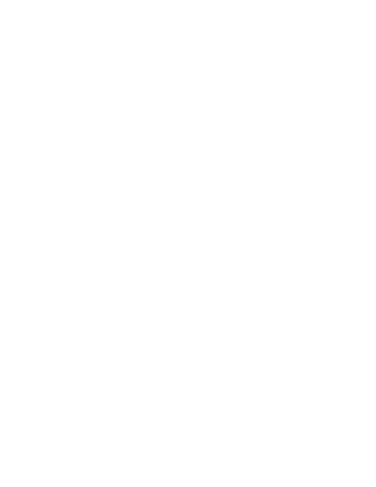$\label{eq:2.1} \frac{1}{\sqrt{2}}\int_{\mathbb{R}^3}\frac{1}{\sqrt{2}}\left(\frac{1}{\sqrt{2}}\right)^2\frac{1}{\sqrt{2}}\left(\frac{1}{\sqrt{2}}\right)^2\frac{1}{\sqrt{2}}\left(\frac{1}{\sqrt{2}}\right)^2\frac{1}{\sqrt{2}}\left(\frac{1}{\sqrt{2}}\right)^2.$  $\label{eq:2.1} \frac{1}{\sqrt{2}}\int_{\mathbb{R}^3}\frac{1}{\sqrt{2}}\left(\frac{1}{\sqrt{2}}\right)^2\frac{1}{\sqrt{2}}\left(\frac{1}{\sqrt{2}}\right)^2\frac{1}{\sqrt{2}}\left(\frac{1}{\sqrt{2}}\right)^2.$